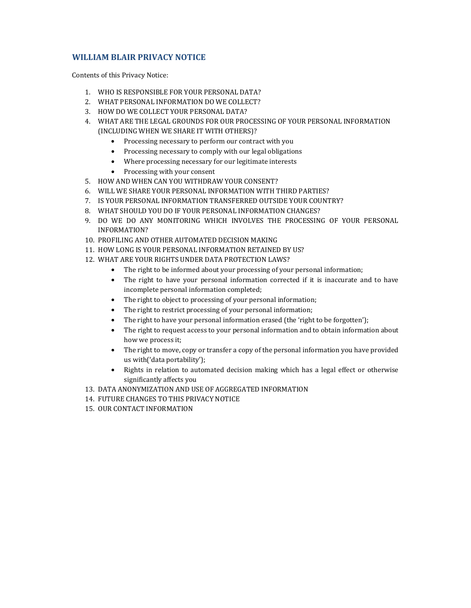# **WILLIAM BLAIR PRIVACY NOTICE**

Contents of this Privacy Notice:

- 1. WHO IS RESPONSIBLE FOR YOUR PERSONAL DATA?
- 2. WHAT PERSONAL INFORMATION DO WE COLLECT?
- 3. HOW DO WE COLLECT YOUR PERSONAL DATA?
- 4. WHAT ARE THE LEGAL GROUNDS FOR OUR PROCESSING OF YOUR PERSONAL INFORMATION (INCLUDING WHEN WE SHARE IT WITH OTHERS)?
	- Processing necessary to perform our contract with you
	- Processing necessary to comply with our legal obligations
	- Where processing necessary for our legitimate interests
	- Processing with your consent
- 5. HOW AND WHEN CAN YOU WITHDRAW YOUR CONSENT?
- 6. WILL WE SHARE YOUR PERSONAL INFORMATION WITH THIRD PARTIES?
- 7. IS YOUR PERSONAL INFORMATION TRANSFERRED OUTSIDE YOUR COUNTRY?
- 8. WHAT SHOULD YOU DO IF YOUR PERSONAL INFORMATION CHANGES?
- 9. DO WE DO ANY MONITORING WHICH INVOLVES THE PROCESSING OF YOUR PERSONAL INFORMATION?
- 10. PROFILING AND OTHER AUTOMATED DECISION MAKING
- 11. HOW LONG IS YOUR PERSONAL INFORMATION RETAINED BY US?
- 12. WHAT ARE YOUR RIGHTS UNDER DATA PROTECTION LAWS?
	- The right to be informed about your processing of your personal information;
	- The right to have your personal information corrected if it is inaccurate and to have incomplete personal information completed;
	- The right to object to processing of your personal information;
	- The right to restrict processing of your personal information;
	- The right to have your personal information erased (the 'right to be forgotten');
	- The right to request access to your personal information and to obtain information about how we process it;
	- The right to move, copy or transfer a copy of the personal information you have provided us with('data portability');
	- Rights in relation to automated decision making which has a legal effect or otherwise significantly affects you
- 13. DATA ANONYMIZATION AND USE OF AGGREGATED INFORMATION
- 14. FUTURE CHANGES TO THIS PRIVACY NOTICE
- 15. OUR CONTACT INFORMATION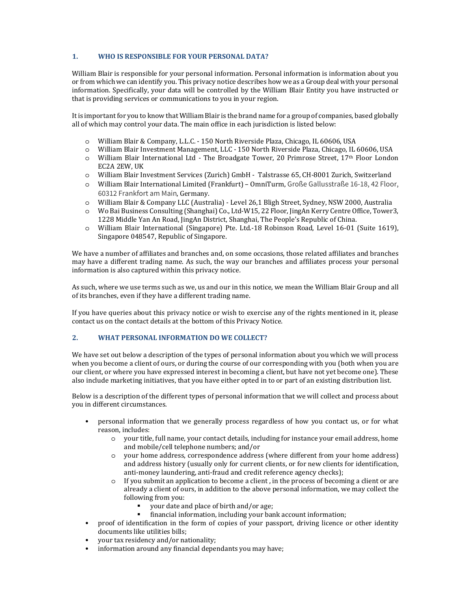## **1. WHO IS RESPONSIBLE FOR YOUR PERSONAL DATA?**

William Blair is responsible for your personal information. Personal information is information about you or from which we can identify you. This privacy notice describes how we as a Group deal with your personal information. Specifically, your data will be controlled by the William Blair Entity you have instructed or that is providing services or communications to you in your region.

It is important for you to know that William Blair is the brand name for a group of companies, based globally all of which may control your data. The main office in each jurisdiction is listed below:

- o William Blair & Company, L.L.C. 150 North Riverside Plaza, Chicago, IL 60606, USA
- o William Blair Investment Management, LLC 150 North Riverside Plaza, Chicago, IL 60606, USA
- o William Blair International Ltd The Broadgate Tower, 20 Primrose Street, 17th Floor London EC2A 2EW, UK
- o William Blair Investment Services (Zurich) GmbH Talstrasse 65, CH-8001 Zurich, Switzerland
- o William Blair International Limited (Frankfurt) OmniTurm, Große Gallusstraße 16-18, 42 Floor, 60312 Frankfort am Main, Germany.
- o William Blair & Company LLC (Australia) Level 26,1 Bligh Street, Sydney, NSW 2000, Australia
- o Wo Bai Business Consulting (Shanghai) Co., Ltd-W15, 22 Floor, JingAn Kerry Centre Office, Tower3, 1228 Middle Yan An Road, JingAn District, Shanghai, The People's Republic of China.
- o William Blair International (Singapore) Pte. Ltd.-18 Robinson Road, Level 16-01 (Suite 1619), Singapore 048547, Republic of Singapore.

We have a number of affiliates and branches and, on some occasions, those related affiliates and branches may have a different trading name. As such, the way our branches and affiliates process your personal information is also captured within this privacy notice.

As such, where we use terms such as we, us and our in this notice, we mean the William Blair Group and all of its branches, even if they have a different trading name.

If you have queries about this privacy notice or wish to exercise any of the rights mentioned in it, please contact us on the contact details at the bottom of this Privacy Notice.

# **2. WHAT PERSONAL INFORMATION DO WE COLLECT?**

We have set out below a description of the types of personal information about you which we will process when you become a client of ours, or during the course of our corresponding with you (both when you are our client, or where you have expressed interest in becoming a client, but have not yet become one). These also include marketing initiatives, that you have either opted in to or part of an existing distribution list.

Below is a description of the different types of personal information that we will collect and process about you in different circumstances.

- personal information that we generally process regardless of how you contact us, or for what reason, includes:
	- o your title, full name, your contact details, including for instance your email address, home and mobile/cell telephone numbers; and/or
	- o your home address, correspondence address (where different from your home address) and address history (usually only for current clients, or for new clients for identification, anti-money laundering, anti-fraud and credit reference agency checks);
	- $\circ$  If you submit an application to become a client, in the process of becoming a client or are already a client of ours, in addition to the above personal information, we may collect the following from you:
		- your date and place of birth and/or age;
		- financial information, including your bank account information;
- proof of identification in the form of copies of your passport, driving licence or other identity documents like utilities bills;
- your tax residency and/or nationality;
- information around any financial dependants you may have;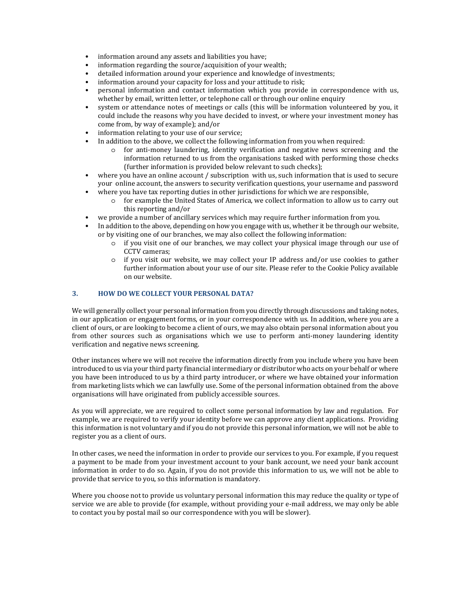- information around any assets and liabilities you have;
- information regarding the source/acquisition of your wealth:
- detailed information around your experience and knowledge of investments;
- information around your capacity for loss and your attitude to risk;
- personal information and contact information which you provide in correspondence with us, whether by email, written letter, or telephone call or through our online enquiry
- system or attendance notes of meetings or calls (this will be information volunteered by you, it could include the reasons why you have decided to invest, or where your investment money has come from, by way of example); and/or
- information relating to your use of our service;
- In addition to the above, we collect the following information from you when required:
	- o for anti-money laundering, identity verification and negative news screening and the information returned to us from the organisations tasked with performing those checks (further information is provided below relevant to such checks);
- where you have an online account / subscription with us, such information that is used to secure your online account, the answers to security verification questions, your username and password • where you have tax reporting duties in other jurisdictions for which we are responsible,
	- o for example the United States of America, we collect information to allow us to carry out this reporting and/or
- we provide a number of ancillary services which may require further information from you.
- In addition to the above, depending on how you engage with us, whether it be through our website, or by visiting one of our branches, we may also collect the following information:
	- o if you visit one of our branches, we may collect your physical image through our use of CCTV cameras;
	- $\circ$  if you visit our website, we may collect your IP address and/or use cookies to gather further information about your use of our site. Please refer to the Cookie Policy available on our website.

## **3. HOW DO WE COLLECT YOUR PERSONAL DATA?**

We will generally collect your personal information from you directly through discussions and taking notes, in our application or engagement forms, or in your correspondence with us. In addition, where you are a client of ours, or are looking to become a client of ours, we may also obtain personal information about you from other sources such as organisations which we use to perform anti-money laundering identity verification and negative news screening.

Other instances where we will not receive the information directly from you include where you have been introduced to us via your third party financial intermediary or distributor who acts on your behalf or where you have been introduced to us by a third party introducer, or where we have obtained your information from marketing lists which we can lawfully use. Some of the personal information obtained from the above organisations will have originated from publicly accessible sources.

As you will appreciate, we are required to collect some personal information by law and regulation. For example, we are required to verify your identity before we can approve any client applications. Providing this information is not voluntary and if you do not provide this personal information, we will not be able to register you as a client of ours.

In other cases, we need the information in order to provide our services to you. For example, if you request a payment to be made from your investment account to your bank account, we need your bank account information in order to do so. Again, if you do not provide this information to us, we will not be able to provide that service to you, so this information is mandatory.

Where you choose not to provide us voluntary personal information this may reduce the quality or type of service we are able to provide (for example, without providing your e-mail address, we may only be able to contact you by postal mail so our correspondence with you will be slower).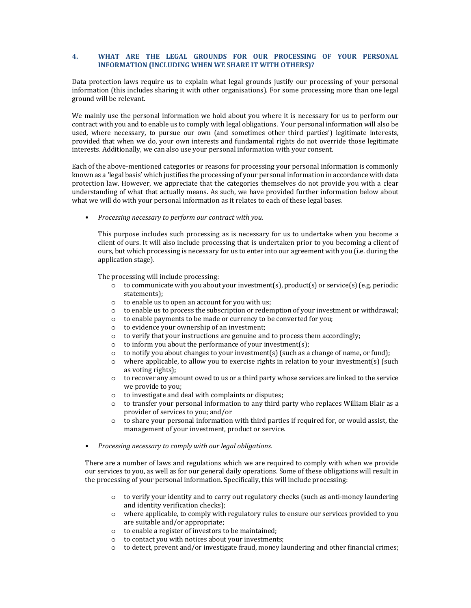#### **4. WHAT ARE THE LEGAL GROUNDS FOR OUR PROCESSING OF YOUR PERSONAL INFORMATION (INCLUDING WHEN WE SHARE IT WITH OTHERS)?**

Data protection laws require us to explain what legal grounds justify our processing of your personal information (this includes sharing it with other organisations). For some processing more than one legal ground will be relevant.

We mainly use the personal information we hold about you where it is necessary for us to perform our contract with you and to enable us to comply with legal obligations. Your personal information will also be used, where necessary, to pursue our own (and sometimes other third parties') legitimate interests, provided that when we do, your own interests and fundamental rights do not override those legitimate interests. Additionally, we can also use your personal information with your consent.

Each of the above-mentioned categories or reasons for processing your personal information is commonly known as a 'legal basis' which justifies the processing of your personal information in accordance with data protection law. However, we appreciate that the categories themselves do not provide you with a clear understanding of what that actually means. As such, we have provided further information below about what we will do with your personal information as it relates to each of these legal bases.

• *Processing necessary to perform our contract with you.* 

This purpose includes such processing as is necessary for us to undertake when you become a client of ours. It will also include processing that is undertaken prior to you becoming a client of ours, but which processing is necessary for us to enter into our agreement with you (i.e. during the application stage).

The processing will include processing:

- $\circ$  to communicate with you about your investment(s), product(s) or service(s) (e.g. periodic statements);
- o to enable us to open an account for you with us;
- $\circ$  to enable us to process the subscription or redemption of your investment or withdrawal;
- o to enable payments to be made or currency to be converted for you;
- o to evidence your ownership of an investment;
- o to verify that your instructions are genuine and to process them accordingly;
- o to inform you about the performance of your investment(s);
- $\circ$  to notify you about changes to your investment(s) (such as a change of name, or fund);
- o where applicable, to allow you to exercise rights in relation to your investment(s) (such as voting rights);
- o to recover any amount owed to us or a third party whose services are linked to the service we provide to you;
- o to investigate and deal with complaints or disputes;
- o to transfer your personal information to any third party who replaces William Blair as a provider of services to you; and/or
- $\circ$  to share your personal information with third parties if required for, or would assist, the management of your investment, product or service.
- *Processing necessary to comply with our legal obligations.*

There are a number of laws and regulations which we are required to comply with when we provide our services to you, as well as for our general daily operations. Some of these obligations will result in the processing of your personal information. Specifically, this will include processing:

- o to verify your identity and to carry out regulatory checks (such as anti-money laundering and identity verification checks);
- o where applicable, to comply with regulatory rules to ensure our services provided to you are suitable and/or appropriate;
- o to enable a register of investors to be maintained;
- o to contact you with notices about your investments;
- $\circ$  to detect, prevent and/or investigate fraud, money laundering and other financial crimes;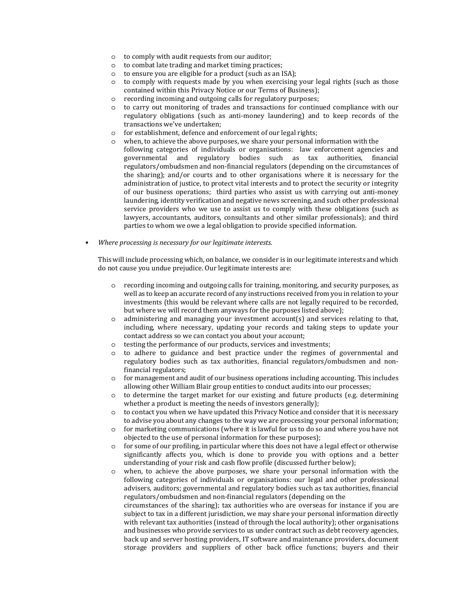- o to comply with audit requests from our auditor;
- o to combat late trading and market timing practices;
- o to ensure you are eligible for a product (such as an ISA);
- o to comply with requests made by you when exercising your legal rights (such as those contained within this Privacy Notice or our Terms of Business);
- o recording incoming and outgoing calls for regulatory purposes;
- o to carry out monitoring of trades and transactions for continued compliance with our regulatory obligations (such as anti-money laundering) and to keep records of the transactions we've undertaken;
- o for establishment, defence and enforcement of our legal rights;
- o when, to achieve the above purposes, we share your personal information with the following categories of individuals or organisations: law enforcement agencies and governmental and regulatory bodies such as tax authorities, financial regulators/ombudsmen and non-financial regulators (depending on the circumstances of the sharing); and/or courts and to other organisations where it is necessary for the administration of justice, to protect vital interests and to protect the security or integrity of our business operations; third parties who assist us with carrying out anti-money laundering, identity verification and negative news screening, and such other professional service providers who we use to assist us to comply with these obligations (such as lawyers, accountants, auditors, consultants and other similar professionals); and third parties to whom we owe a legal obligation to provide specified information.
- *Where processing is necessary for our legitimate interests.*

This will include processing which, on balance, we consider is in our legitimate interests and which do not cause you undue prejudice. Our legitimate interests are:

- o recording incoming and outgoing calls for training, monitoring, and security purposes, as well as to keep an accurate record of any instructions received from you in relation to your investments (this would be relevant where calls are not legally required to be recorded, but where we will record them anyways for the purposes listed above);
- $\circ$  administering and managing your investment account(s) and services relating to that, including, where necessary, updating your records and taking steps to update your contact address so we can contact you about your account;
- o testing the performance of our products, services and investments;
- o to adhere to guidance and best practice under the regimes of governmental and regulatory bodies such as tax authorities, financial regulators/ombudsmen and nonfinancial regulators;
- o for management and audit of our business operations including accounting. This includes allowing other William Blair group entities to conduct audits into our processes;
- $\circ$  to determine the target market for our existing and future products (e.g. determining whether a product is meeting the needs of investors generally);
- $\circ$  to contact you when we have updated this Privacy Notice and consider that it is necessary to advise you about any changes to the way we are processing your personal information;
- o for marketing communications (where it is lawful for us to do so and where you have not objected to the use of personal information for these purposes);
- $\circ$  for some of our profiling, in particular where this does not have a legal effect or otherwise significantly affects you, which is done to provide you with options and a better understanding of your risk and cash flow profile (discussed further below);
- o when, to achieve the above purposes, we share your personal information with the following categories of individuals or organisations: our legal and other professional advisers, auditors; governmental and regulatory bodies such as tax authorities, financial regulators/ombudsmen and non-financial regulators (depending on the circumstances of the sharing); tax authorities who are overseas for instance if you are subject to tax in a different jurisdiction, we may share your personal information directly with relevant tax authorities (instead of through the local authority); other organisations and businesses who provide services to us under contract such as debt recovery agencies, back up and server hosting providers, IT software and maintenance providers, document storage providers and suppliers of other back office functions; buyers and their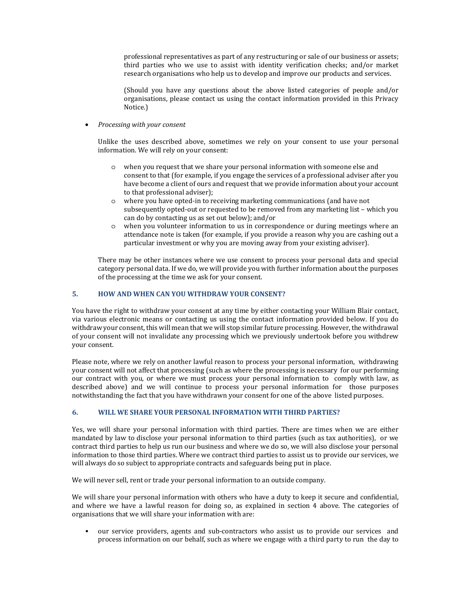professional representatives as part of any restructuring or sale of our business or assets; third parties who we use to assist with identity verification checks; and/or market research organisations who help us to develop and improve our products and services.

(Should you have any questions about the above listed categories of people and/or organisations, please contact us using the contact information provided in this Privacy Notice.)

• *Processing with your consent* 

Unlike the uses described above, sometimes we rely on your consent to use your personal information. We will rely on your consent:

- o when you request that we share your personal information with someone else and consent to that (for example, if you engage the services of a professional adviser after you have become a client of ours and request that we provide information about your account to that professional adviser);
- o where you have opted-in to receiving marketing communications (and have not subsequently opted-out or requested to be removed from any marketing list – which you can do by contacting us as set out below); and/or
- o when you volunteer information to us in correspondence or during meetings where an attendance note is taken (for example, if you provide a reason why you are cashing out a particular investment or why you are moving away from your existing adviser).

There may be other instances where we use consent to process your personal data and special category personal data. If we do, we will provide you with further information about the purposes of the processing at the time we ask for your consent.

# **5. HOW AND WHEN CAN YOU WITHDRAW YOUR CONSENT?**

You have the right to withdraw your consent at any time by either contacting your William Blair contact, via various electronic means or contacting us using the contact information provided below. If you do withdraw your consent, this will mean that we will stop similar future processing. However, the withdrawal of your consent will not invalidate any processing which we previously undertook before you withdrew your consent.

Please note, where we rely on another lawful reason to process your personal information, withdrawing your consent will not affect that processing (such as where the processing is necessary for our performing our contract with you, or where we must process your personal information to comply with law, as described above) and we will continue to process your personal information for those purposes notwithstanding the fact that you have withdrawn your consent for one of the above listed purposes.

# **6. WILL WE SHARE YOUR PERSONAL INFORMATION WITH THIRD PARTIES?**

Yes, we will share your personal information with third parties. There are times when we are either mandated by law to disclose your personal information to third parties (such as tax authorities), or we contract third parties to help us run our business and where we do so, we will also disclose your personal information to those third parties. Where we contract third parties to assist us to provide our services, we will always do so subject to appropriate contracts and safeguards being put in place.

We will never sell, rent or trade your personal information to an outside company.

We will share your personal information with others who have a duty to keep it secure and confidential, and where we have a lawful reason for doing so, as explained in section 4 above. The categories of organisations that we will share your information with are:

• our service providers, agents and sub-contractors who assist us to provide our services and process information on our behalf, such as where we engage with a third party to run the day to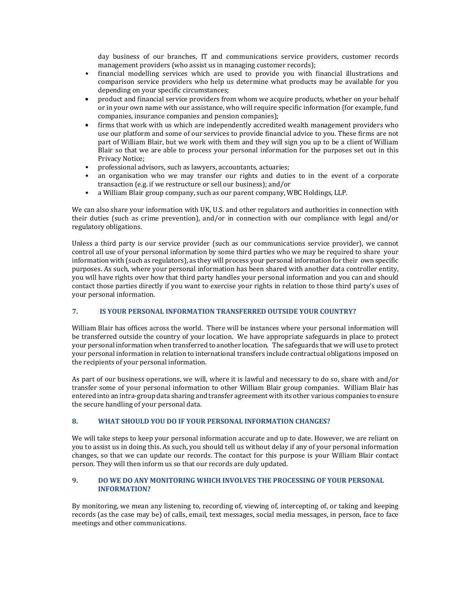day business of our branches, IT and communications service providers, customer records management providers (who assist us in managing customer records);

- financial modelling services which are used to provide you with financial illustrations and comparison service providers who help us determine what products may be available for you depending on your specific circumstances;
- product and financial service providers from whom we acquire products, whether on your behalf or in your own name with our assistance, who will require specific information (for example, fund companies, insurance companies and pension companies);
- firms that work with us which are independently accredited wealth management providers who use our platform and some of our services to provide financial advice to you. These firms are not part of William Blair, but we work with them and they will sign you up to be a client of William Blair so that we are able to process your personal information for the purposes set out in this Privacy Notice;
- professional advisors, such as lawyers, accountants, actuaries;
- an organisation who we may transfer our rights and duties to in the event of a corporate transaction (e.g. if we restructure or sell our business); and/or
- a William Blair group company, such as our parent company, WBC Holdings, LLP.

We can also share your information with UK, U.S. and other regulators and authorities in connection with their duties (such as crime prevention), and/or in connection with our compliance with legal and/or regulatory obligations.

Unless a third party is our service provider (such as our communications service provider), we cannot control all use of your personal information by some third parties who we may be required to share your information with (such as regulators), as they will process your personal information for their own specific purposes. As such, where your personal information has been shared with another data controller entity, you will have rights over how that third party handles your personal information and you can and should contact those parties directly if you want to exercise your rights in relation to those third party's uses of your personal information.

# **7. IS YOUR PERSONAL INFORMATION TRANSFERRED OUTSIDE YOUR COUNTRY?**

William Blair has offices across the world. There will be instances where your personal information will be transferred outside the country of your location. We have appropriate safeguards in place to protect your personal information when transferred to another location. The safeguards that we will use to protect your personal information in relation to international transfers include contractual obligations imposed on the recipients of your personal information.

As part of our business operations, we will, where it is lawful and necessary to do so, share with and/or transfer some of your personal information to other William Blair group companies. William Blair has entered into an intra-group data sharing and transfer agreement with its other various companies to ensure the secure handling of your personal data.

#### **8. WHAT SHOULD YOU DO IF YOUR PERSONAL INFORMATION CHANGES?**

We will take steps to keep your personal information accurate and up to date. However, we are reliant on you to assist us in doing this. As such, you should tell us without delay if any of your personal information changes, so that we can update our records. The contact for this purpose is your William Blair contact person. They will then inform us so that our records are duly updated.

### **9. DO WE DO ANY MONITORING WHICH INVOLVES THE PROCESSING OF YOUR PERSONAL INFORMATION?**

By monitoring, we mean any listening to, recording of, viewing of, intercepting of, or taking and keeping records (as the case may be) of calls, email, text messages, social media messages, in person, face to face meetings and other communications.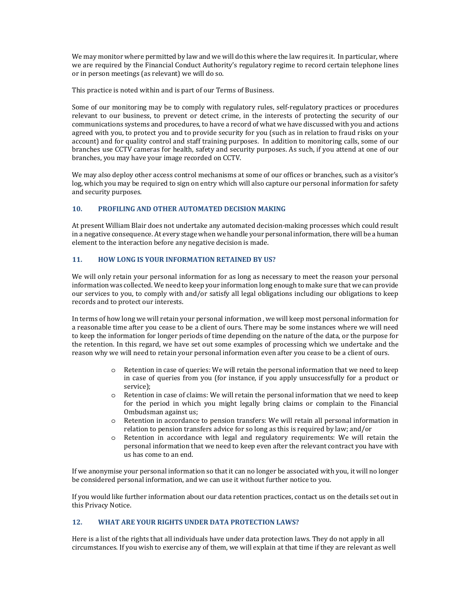We may monitor where permitted by law and we will do this where the law requires it. In particular, where we are required by the Financial Conduct Authority's regulatory regime to record certain telephone lines or in person meetings (as relevant) we will do so.

This practice is noted within and is part of our Terms of Business.

Some of our monitoring may be to comply with regulatory rules, self-regulatory practices or procedures relevant to our business, to prevent or detect crime, in the interests of protecting the security of our communications systems and procedures, to have a record of what we have discussed with you and actions agreed with you, to protect you and to provide security for you (such as in relation to fraud risks on your account) and for quality control and staff training purposes. In addition to monitoring calls, some of our branches use CCTV cameras for health, safety and security purposes. As such, if you attend at one of our branches, you may have your image recorded on CCTV.

We may also deploy other access control mechanisms at some of our offices or branches, such as a visitor's log, which you may be required to sign on entry which will also capture our personal information for safety and security purposes.

# **10. PROFILING AND OTHER AUTOMATED DECISION MAKING**

At present William Blair does not undertake any automated decision-making processes which could result in a negative consequence. At every stage when we handle your personal information, there will be a human element to the interaction before any negative decision is made.

### **11. HOW LONG IS YOUR INFORMATION RETAINED BY US?**

We will only retain your personal information for as long as necessary to meet the reason your personal information was collected. We need to keep your information long enough to make sure that we can provide our services to you, to comply with and/or satisfy all legal obligations including our obligations to keep records and to protect our interests.

In terms of how long we will retain your personal information , we will keep most personal information for a reasonable time after you cease to be a client of ours. There may be some instances where we will need to keep the information for longer periods of time depending on the nature of the data, or the purpose for the retention. In this regard, we have set out some examples of processing which we undertake and the reason why we will need to retain your personal information even after you cease to be a client of ours.

- o Retention in case of queries: We will retain the personal information that we need to keep in case of queries from you (for instance, if you apply unsuccessfully for a product or service);
- o Retention in case of claims: We will retain the personal information that we need to keep for the period in which you might legally bring claims or complain to the Financial Ombudsman against us;
- o Retention in accordance to pension transfers: We will retain all personal information in relation to pension transfers advice for so long as this is required by law; and/or
- o Retention in accordance with legal and regulatory requirements: We will retain the personal information that we need to keep even after the relevant contract you have with us has come to an end.

If we anonymise your personal information so that it can no longer be associated with you, it will no longer be considered personal information, and we can use it without further notice to you.

If you would like further information about our data retention practices, contact us on the details set out in this Privacy Notice.

# **12. WHAT ARE YOUR RIGHTS UNDER DATA PROTECTION LAWS?**

Here is a list of the rights that all individuals have under data protection laws. They do not apply in all circumstances. If you wish to exercise any of them, we will explain at that time if they are relevant as well